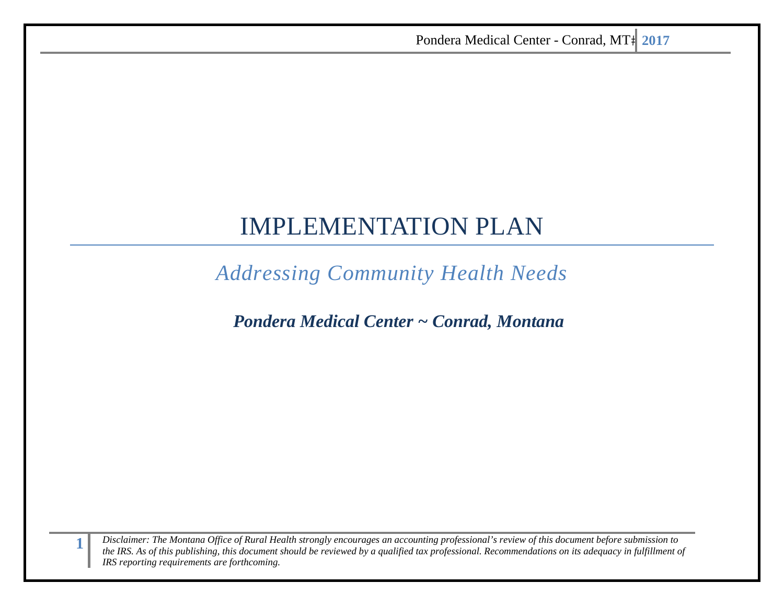# IMPLEMENTATION PLAN

*Addressing Community Health Needs* 

*Pondera Medical Center ~ Conrad, Montana*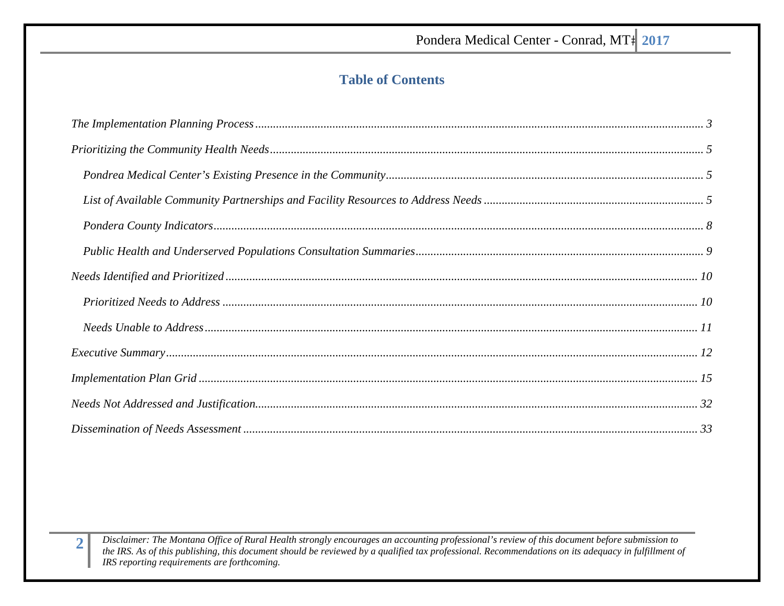# **Table of Contents**

| $\emph{The Implementation Planning Process …} \label{prop:non-convex} \normalsize$                   |  |
|------------------------------------------------------------------------------------------------------|--|
|                                                                                                      |  |
|                                                                                                      |  |
|                                                                                                      |  |
|                                                                                                      |  |
|                                                                                                      |  |
|                                                                                                      |  |
| $\emph{Priorityed Needs to Address} \emph{} \emph{} \emph{} \emph{} \emph{} \emph{} \emph{} \emph{}$ |  |
|                                                                                                      |  |
|                                                                                                      |  |
|                                                                                                      |  |
|                                                                                                      |  |
|                                                                                                      |  |

Disclaimer: The Montana Office of Rural Health strongly encourages an accounting professional's review of this document before submission to the IRS. As of this publishing, this document should be reviewed by a qualified tax professional. Recommendations on its adequacy in fulfillment of IRS reporting requirements are forthcoming.

 $\overline{2}$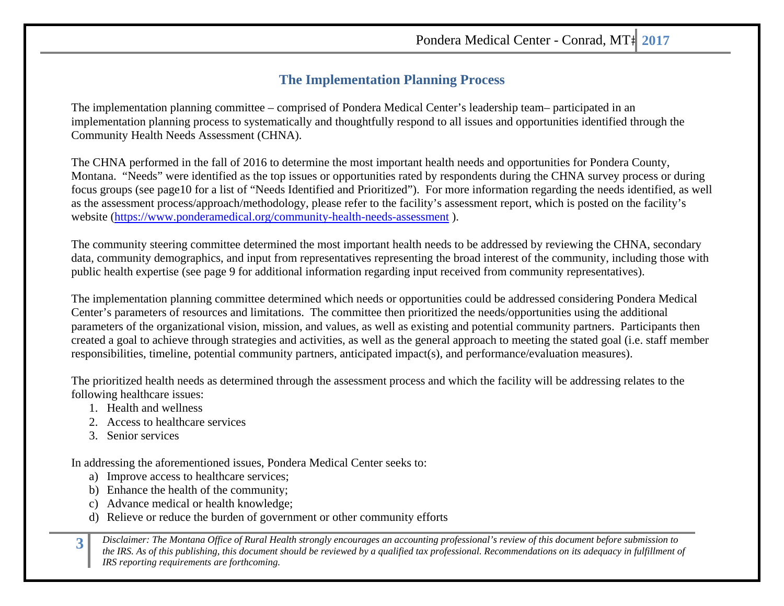### **The Implementation Planning Process**

The implementation planning committee – comprised of Pondera Medical Center's leadership team– participated in an implementation planning process to systematically and thoughtfully respond to all issues and opportunities identified through the Community Health Needs Assessment (CHNA).

The CHNA performed in the fall of 2016 to determine the most important health needs and opportunities for Pondera County, Montana. "Needs" were identified as the top issues or opportunities rated by respondents during the CHNA survey process or during focus groups (see page10 for a list of "Needs Identified and Prioritized"). For more information regarding the needs identified, as well as the assessment process/approach/methodology, please refer to the facility's assessment report, which is posted on the facility's website (https://www.ponderamedical.org/community-health-needs-assessment ).

The community steering committee determined the most important health needs to be addressed by reviewing the CHNA, secondary data, community demographics, and input from representatives representing the broad interest of the community, including those with public health expertise (see page 9 for additional information regarding input received from community representatives).

The implementation planning committee determined which needs or opportunities could be addressed considering Pondera Medical Center's parameters of resources and limitations. The committee then prioritized the needs/opportunities using the additional parameters of the organizational vision, mission, and values, as well as existing and potential community partners. Participants then created a goal to achieve through strategies and activities, as well as the general approach to meeting the stated goal (i.e. staff member responsibilities, timeline, potential community partners, anticipated impact(s), and performance/evaluation measures).

The prioritized health needs as determined through the assessment process and which the facility will be addressing relates to the following healthcare issues:

- 1. Health and wellness
- 2. Access to healthcare services
- 3. Senior services

In addressing the aforementioned issues, Pondera Medical Center seeks to:

- a) Improve access to healthcare services;
- b) Enhance the health of the community;
- c) Advance medical or health knowledge;
- d) Relieve or reduce the burden of government or other community efforts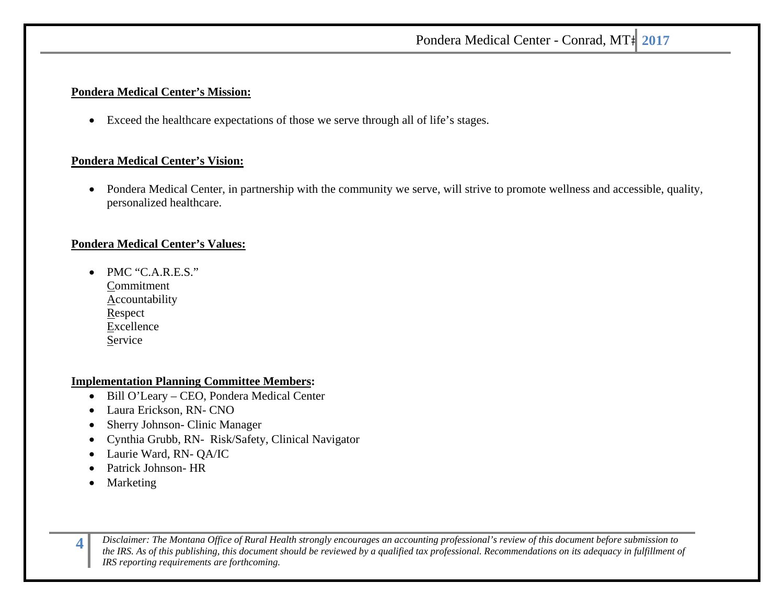### **Pondera Medical Center's Mission:**

 $\bullet$ Exceed the healthcare expectations of those we serve through all of life's stages.

### **Pondera Medical Center's Vision:**

 $\bullet$  Pondera Medical Center, in partnership with the community we serve, will strive to promote wellness and accessible, quality, personalized healthcare.

### **Pondera Medical Center's Values:**

• PMC "C.A.R.E.S." Commitment **Accountability** Respect Excellence Service

### **Implementation Planning Committee Members:**

- Bill O'Leary CEO, Pondera Medical Center
- $\bullet$ Laura Erickson, RN- CNO
- $\bullet$ Sherry Johnson- Clinic Manager
- $\bullet$ Cynthia Grubb, RN- Risk/Safety, Clinical Navigator
- $\bullet$ Laurie Ward, RN- QA/IC
- . Patrick Johnson- HR
- . Marketing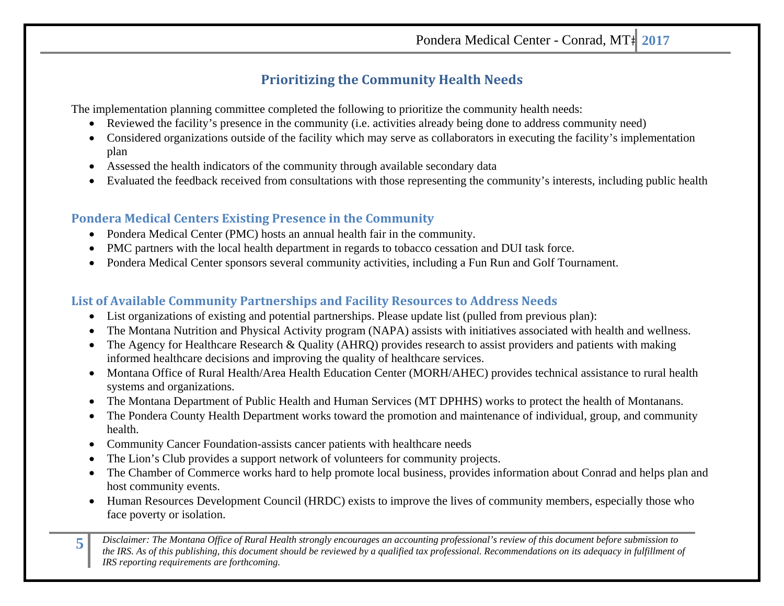# **Prioritizing the Community Health Needs**

The implementation planning committee completed the following to prioritize the community health needs:

- Reviewed the facility's presence in the community (i.e. activities already being done to address community need)
- Considered organizations outside of the facility which may serve as collaborators in executing the facility's implementation plan
- Assessed the health indicators of the community through available secondary data
- Evaluated the feedback received from consultations with those representing the community's interests, including public health

### **Pondera Medical Centers Existing Presence in the Community**

- Pondera Medical Center (PMC) hosts an annual health fair in the community.
- PMC partners with the local health department in regards to tobacco cessation and DUI task force.
- Pondera Medical Center sponsors several community activities, including a Fun Run and Golf Tournament.

### **List of Available Community Partnerships and Facility Resources to Address Needs**

- List organizations of existing and potential partnerships. Please update list (pulled from previous plan):
- $\bullet$ The Montana Nutrition and Physical Activity program (NAPA) assists with initiatives associated with health and wellness.
- $\bullet$  The Agency for Healthcare Research & Quality (AHRQ) provides research to assist providers and patients with making informed healthcare decisions and improving the quality of healthcare services.
- 0 Montana Office of Rural Health/Area Health Education Center (MORH/AHEC) provides technical assistance to rural health systems and organizations.
- The Montana Department of Public Health and Human Services (MT DPHHS) works to protect the health of Montanans.
- $\bullet$  The Pondera County Health Department works toward the promotion and maintenance of individual, group, and community health.
- $\bullet$ Community Cancer Foundation-assists cancer patients with healthcare needs
- $\bullet$ The Lion's Club provides a support network of volunteers for community projects.
- $\bullet$  The Chamber of Commerce works hard to help promote local business, provides information about Conrad and helps plan and host community events.
- Human Resources Development Council (HRDC) exists to improve the lives of community members, especially those who face poverty or isolation.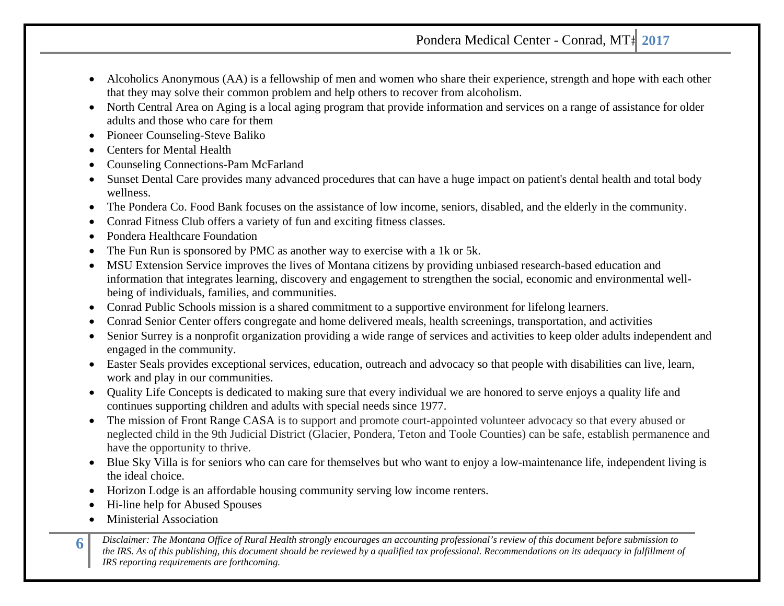- Alcoholics Anonymous (AA) is a fellowship of men and women who share their experience, strength and hope with each other that they may solve their common problem and help others to recover from alcoholism.
- North Central Area on Aging is a local aging program that provide information and services on a range of assistance for older adults and those who care for them
- Pioneer Counseling-Steve Baliko
- $\bullet$ Centers for Mental Health
- . Counseling Connections-Pam McFarland
- $\bullet$  Sunset Dental Care provides many advanced procedures that can have a huge impact on patient's dental health and total body wellness.
- $\bullet$ The Pondera Co. Food Bank focuses on the assistance of low income, seniors, disabled, and the elderly in the community.
- $\bullet$ Conrad Fitness Club offers a variety of fun and exciting fitness classes.
- $\bullet$ Pondera Healthcare Foundation
- $\bullet$ The Fun Run is sponsored by PMC as another way to exercise with a 1k or 5k.
- $\bullet$  MSU Extension Service improves the lives of Montana citizens by providing unbiased research-based education and information that integrates learning, discovery and engagement to strengthen the social, economic and environmental wellbeing of individuals, families, and communities.
- Conrad Public Schools mission is a shared commitment to a supportive environment for lifelong learners.
- $\bullet$ Conrad Senior Center offers congregate and home delivered meals, health screenings, transportation, and activities
- $\bullet$  Senior Surrey is a nonprofit organization providing a wide range of services and activities to keep older adults independent and engaged in the community.
- Easter Seals provides exceptional services, education, outreach and advocacy so that people with disabilities can live, learn, work and play in our communities.
- Quality Life Concepts is dedicated to making sure that every individual we are honored to serve enjoys a quality life and continues supporting children and adults with special needs since 1977.
- $\bullet$  The mission of Front Range CASA is to support and promote court-appointed volunteer advocacy so that every abused or neglected child in the 9th Judicial District (Glacier, Pondera, Teton and Toole Counties) can be safe, establish permanence and have the opportunity to thrive.
- Blue Sky Villa is for seniors who can care for themselves but who want to enjoy a low-maintenance life, independent living is the ideal choice.
- $\bullet$ Horizon Lodge is an affordable housing community serving low income renters.
- . Hi-line help for Abused Spouses
- . Ministerial Association
- 6 Disclaimer: The Montana Office of Rural Health strongly encourages an accounting professional's review of this document before submission to<br>the IRS. As of this publishing, this document should be reviewed by a qualified *IRS reporting requirements are forthcoming.*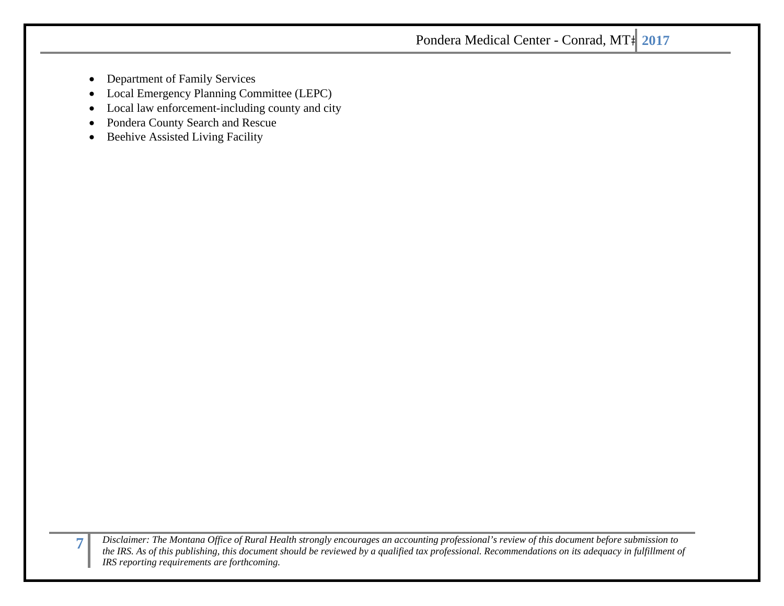- $\bullet$ Department of Family Services
- $\bullet$ Local Emergency Planning Committee (LEPC)
- $\bullet$ Local law enforcement-including county and city
- $\bullet$ Pondera County Search and Rescue
- $\bullet$ Beehive Assisted Living Facility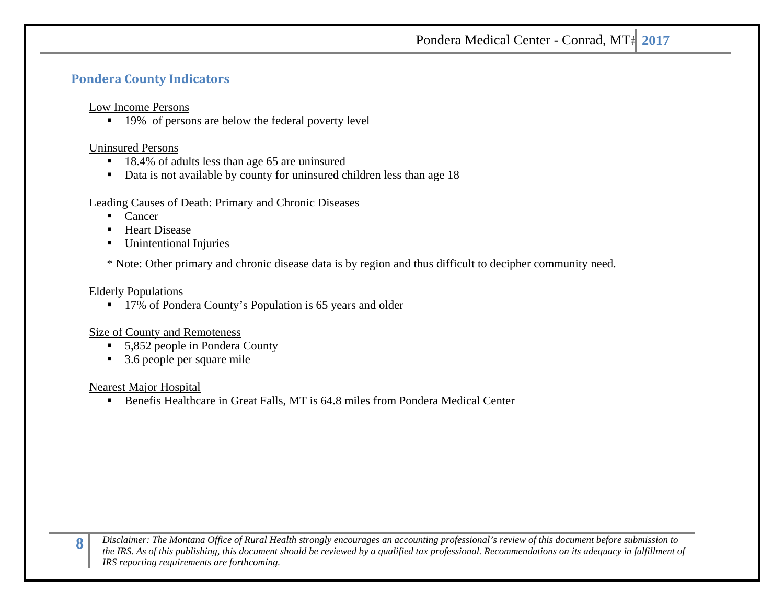### **Pondera County Indicators**

### Low Income Persons

■ 19% of persons are below the federal poverty level

#### Uninsured Persons

- 18.4% of adults less than age 65 are uninsured
- Data is not available by county for uninsured children less than age 18

### Leading Causes of Death: Primary and Chronic Diseases

- $\blacksquare$ Cancer
- $\blacksquare$ Heart Disease
- Г Unintentional Injuries

\* Note: Other primary and chronic disease data is by region and thus difficult to decipher community need.

#### Elderly Populations

■ 17% of Pondera County's Population is 65 years and older

### Size of County and Remoteness

- 5,852 people in Pondera County
- 3.6 people per square mile

### Nearest Major Hospital

Benefis Healthcare in Great Falls, MT is 64.8 miles from Pondera Medical Center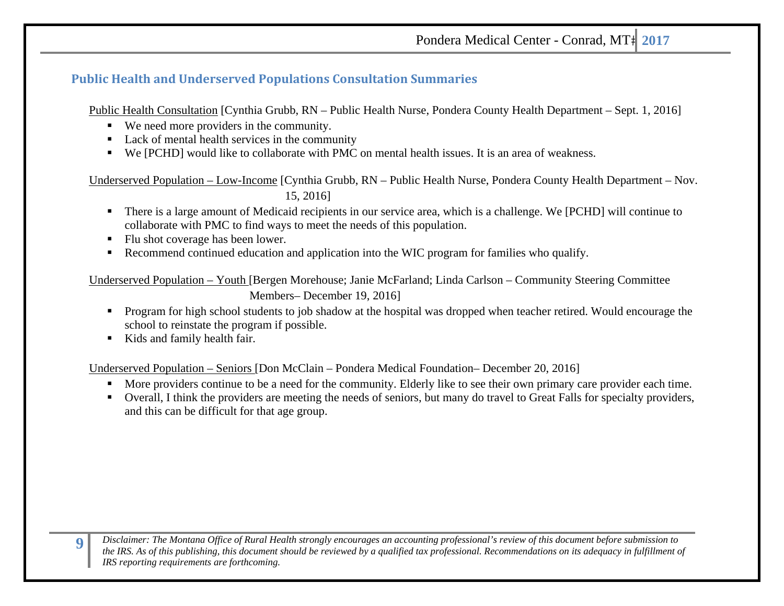### **Public Health and Underserved Populations Consultation Summaries**

Public Health Consultation [Cynthia Grubb, RN – Public Health Nurse, Pondera County Health Department – Sept. 1, 2016]

- We need more providers in the community.
- Lack of mental health services in the community
- We [PCHD] would like to collaborate with PMC on mental health issues. It is an area of weakness.

Underserved Population – Low-Income [Cynthia Grubb, RN – Public Health Nurse, Pondera County Health Department – Nov. 15, 2016]

- $\blacksquare$  There is a large amount of Medicaid recipients in our service area, which is a challenge. We [PCHD] will continue to collaborate with PMC to find ways to meet the needs of this population.
- Flu shot coverage has been lower.
- ٠ Recommend continued education and application into the WIC program for families who qualify.

Underserved Population – Youth [Bergen Morehouse; Janie McFarland; Linda Carlson – Community Steering Committee Members– December 19, 2016]

- **Program for high school students to job shadow at the hospital was dropped when teacher retired. Would encourage the** school to reinstate the program if possible.
- $\blacksquare$ Kids and family health fair.

Underserved Population – Seniors [Don McClain – Pondera Medical Foundation– December 20, 2016]

- $\blacksquare$ More providers continue to be a need for the community. Elderly like to see their own primary care provider each time.
- Overall, I think the providers are meeting the needs of seniors, but many do travel to Great Falls for specialty providers, and this can be difficult for that age group.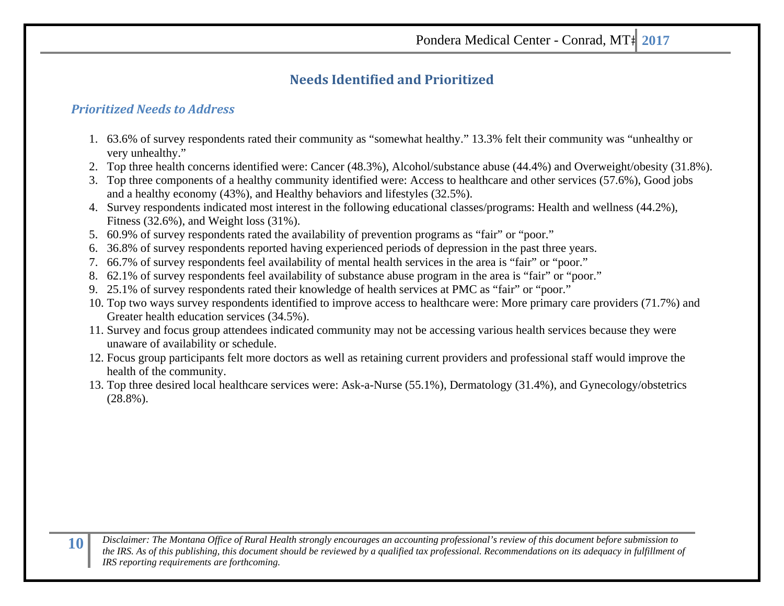# **Needs Identified and Prioritized**

### *Prioritized Needs to Address*

- 1. 63.6% of survey respondents rated their community as "somewhat healthy." 13.3% felt their community was "unhealthy or very unhealthy."
- 2. Top three health concerns identified were: Cancer (48.3%), Alcohol/substance abuse (44.4%) and Overweight/obesity (31.8%).
- 3. Top three components of a healthy community identified were: Access to healthcare and other services (57.6%), Good jobs and a healthy economy (43%), and Healthy behaviors and lifestyles (32.5%).
- 4. Survey respondents indicated most interest in the following educational classes/programs: Health and wellness (44.2%), Fitness (32.6%), and Weight loss (31%).
- 5. 60.9% of survey respondents rated the availability of prevention programs as "fair" or "poor."
- 6. 36.8% of survey respondents reported having experienced periods of depression in the past three years.
- 7. 66.7% of survey respondents feel availability of mental health services in the area is "fair" or "poor."
- 8. 62.1% of survey respondents feel availability of substance abuse program in the area is "fair" or "poor."
- 9. 25.1% of survey respondents rated their knowledge of health services at PMC as "fair" or "poor."
- 10. Top two ways survey respondents identified to improve access to healthcare were: More primary care providers (71.7%) and Greater health education services (34.5%).
- 11. Survey and focus group attendees indicated community may not be accessing various health services because they were unaware of availability or schedule.
- 12. Focus group participants felt more doctors as well as retaining current providers and professional staff would improve the health of the community.
- 13. Top three desired local healthcare services were: Ask-a-Nurse (55.1%), Dermatology (31.4%), and Gynecology/obstetrics (28.8%).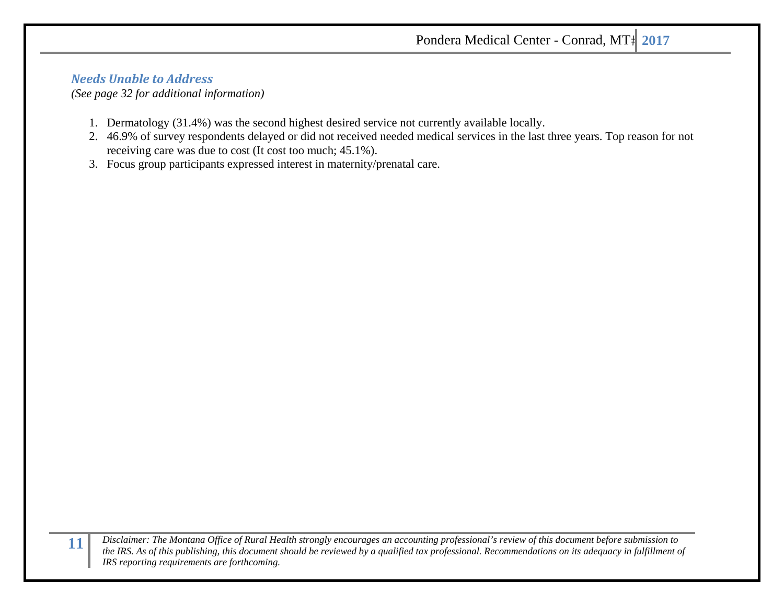### *Needs Unable to Address*

*(See page 32 for additional information)* 

- 1. Dermatology (31.4%) was the second highest desired service not currently available locally.
- 2. 46.9% of survey respondents delayed or did not received needed medical services in the last three years. Top reason for not receiving care was due to cost (It cost too much; 45.1%).
- 3. Focus group participants expressed interest in maternity/prenatal care.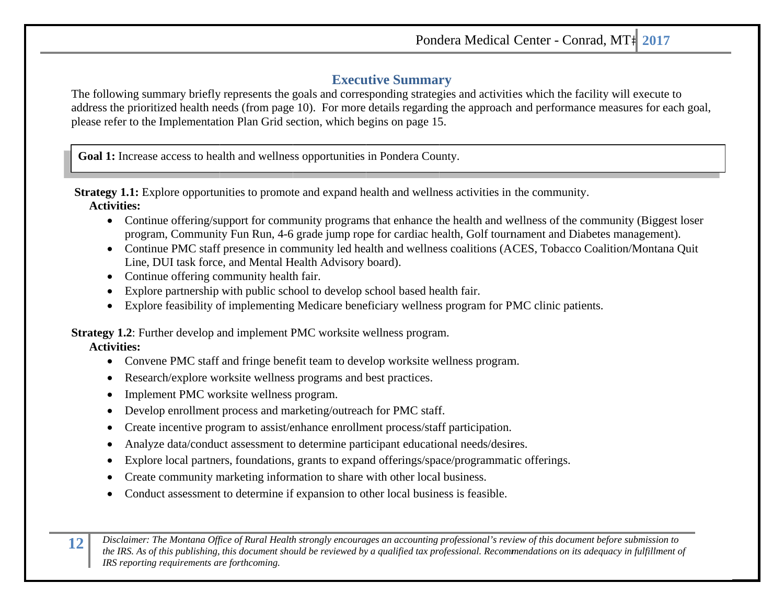Pondera Medical Center - Conrad, MT# 2017

### **Executive Summary**

The following summary briefly represents the goals and corresponding strategies and activities which the facility will execute to address the prioritized health needs (from page 10). For more details regarding the approach and performance measures for each goal, please refer to the Implementation Plan Grid section, which begins on page 15.

**Goal 1:** Increase access to health and wellness opportunities in Pondera County.

**Strategy 1.1:** Explore opportunities to promote and expand health and wellness activities in the community. **Activities:** 

- Continue offering/support for community programs that enhance the health and wellness of the community (Biggest loser program, Community Fun Run, 4-6 grade jump rope for cardiac health, Golf tournament and Diabetes management).
- Continue PMC staff presence in community led health and wellness coalitions (ACES, Tobacco Coalition/Montana Quit Line, DUI task force, and Mental Health Advisory board).
- Continue offering community health fair.
- Explore partnership with public school to develop school based health fair.
- Explore feasibility of implementing Medicare beneficiary wellness program for PMC clinic patients.

**Strategy 1.2:** Further develop and implement PMC worksite wellness program.

**Activities:** 

**1**

- Convene PMC staff and fringe benefit team to develop worksite wellness program.
- $\bullet$ • Research/explore worksite wellness programs and best practices.
- $\bullet$ • Implement PMC worksite wellness program.
- $\bullet$ • Develop enrollment process and marketing/outreach for PMC staff.
- 0 • Create incentive program to assist/enhance enrollment process/staff participation.
- . • Analyze data/conduct assessment to determine participant educational needs/desires.
- . • Explore local partners, foundations, grants to expand offerings/space/programmatic offerings.
- 0 • Create community marketing information to share with other local business.
- $\bullet$ • Conduct assessment to determine if expansion to other local business is feasible.

Disclaimer: The Montana Office of Rural Health strongly encourages an accounting professional's review of this document before submission to<br>the IRS. As of this publishing, this document should be reviewed by a aualified t *of this publishing, this document should be reviewed by a qualified tax professional. Recommendations on its adequacy in fulfillment of IRS reporti ing requirements ar re forthcoming.*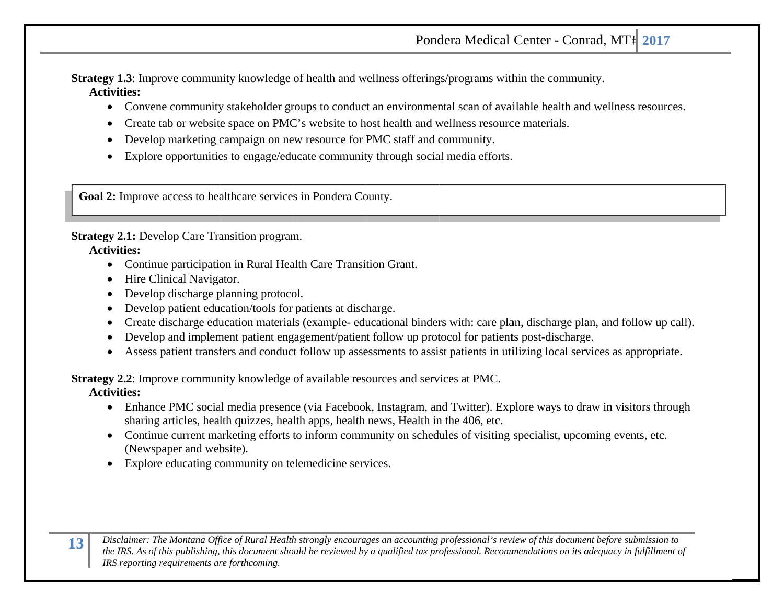# Pondera Medical Center - Conrad, MT# 2017

**Strategy 1.3**: Improve community knowledge of health and wellness offerings/programs within the community. **Activities:** 

- Convene community stakeholder groups to conduct an environmental scan of available health and wellness resources.
- 0 • Create tab or website space on PMC's website to host health and wellness resource materials.
- . • Develop marketing campaign on new resource for PMC staff and community.
- . • Explore opportunities to engage/educate community through social media efforts.

**Goal 2:** Improve access to healthcare services in Pondera County.

**Strategy 2.1:** Develop Care Transition program.

### **Activities:**

**1**

- Continue participation in Rural Health Care Transition Grant.
- Hire Clinical Navigator.
- . • Develop discharge planning protocol.
- . • Develop patient education/tools for patients at discharge.
- . • Create discharge education materials (example- educational binders with: care plan, discharge plan, and follow up call).
- $\bullet$ • Develop and implement patient engagement/patient follow up protocol for patients post-discharge.
- Assess patient transfers and conduct follow up assessments to assist patients in utilizing local services as appropriate.

**Strategy 2.2:** Improve community knowledge of available resources and services at PMC. **Activities:** 

- Enhance PMC social media presence (via Facebook, Instagram, and Twitter). Explore ways to draw in visitors through sharing articles, health quizzes, health apps, health news, Health in the 406, etc.
- Continue current marketing efforts to inform community on schedules of visiting specialist, upcoming events, etc. (Newspaper and website).
- Explore educating community on telemedicine services.

Disclaimer: The Montana Office of Rural Health strongly encourages an accounting professional's review of this document before submission to<br>the IRS. As of this publishing, this document should be reviewed by a aualified t *of this publishing, this document should be reviewed by a qualified tax professional. Recommendations on its adequacy in fulfillment of IRS reporti ing requirements ar re forthcoming.*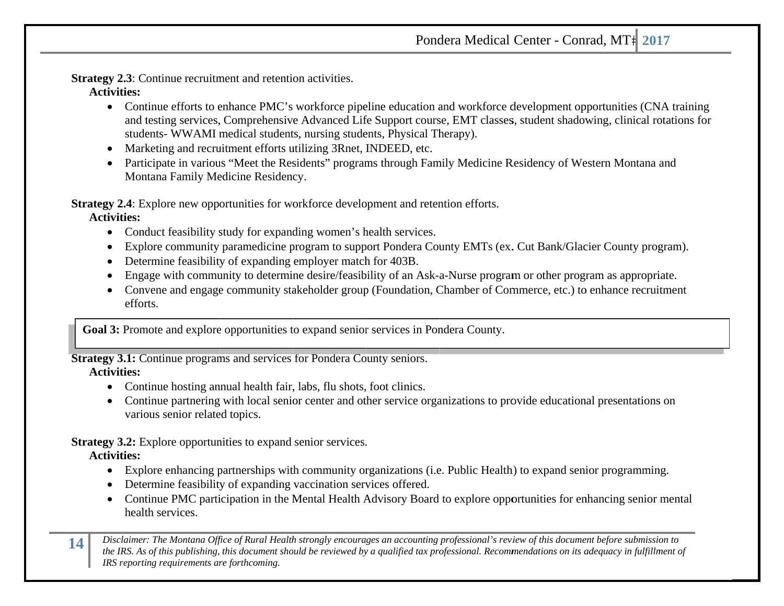### Pondera Medical Center - Conrad, MT# 2017

**Strategy 2.3**: Continue recruitment and retention activities. **Activities:** 

- Continue efforts to enhance PMC's workforce pipeline education and workforce development opportunities (CNA training and testing services, Comprehensive Advanced Life Support course, EMT classes, student shadowing, clinical rotations for students- WWAMI medical students, nursing students, Physical Therapy).
- Marketing and recruitment efforts utilizing 3Rnet, INDEED, etc.
- Participate in various "Meet the Residents" programs through Family Medicine Residency of Western Montana and Montana Family Medicine Residency.

**Strategy 2.4**: Explore new opportunities for workforce development and retention efforts. **Activities:** 

- Conduct feasibility study for expanding women's health services.
- Explore community paramedicine program to support Pondera County EMTs (ex. Cut Bank/Glacier County program).
- Determine feasibility of expanding employer match for 403B.
- 0 • Engage with community to determine desire/feasibility of an Ask-a-Nurse program or other program as appropriate.
- Convene and engage community stakeholder group (Foundation, Chamber of Commerce, etc.) to enhance recruitment efforts.

Goal 3: Promote and explore opportunities to expand senior services in Pondera County.

**Strategy 3.1:** Continue programs and services for Pondera County seniors.

### **Activities:**

- Continue hosting annual health fair, labs, flu shots, foot clinics.
- Continue partnering with local senior center and other service organizations to provide educational presentations on various senior related topics.

**Strategy 3.2:** Explore opportunities to expand senior services. **Activities:** 

- or Explore opportunities to expand sense services.<br>
Explore enhancing partnerships with community organizations (i.e. Public Health) to expand senior programming.
- Determine feasibility of expanding vaccination services offered.
- Continue PMC participation in the Mental Health Advisory Board to explore opportunities for enhancing senior mental health services.

Disclaimer: The Montana Office of Rural Health strongly encourages an accounting professional's review of this document before submission to<br>the IRS. As of this publishing, this document should be reviewed by a aualified t *of this publishing, this document should be reviewed by a qualified tax professional. Recommendations on its adequacy in fulfillment of IRS reporti ing requirements ar re forthcoming.*

**1**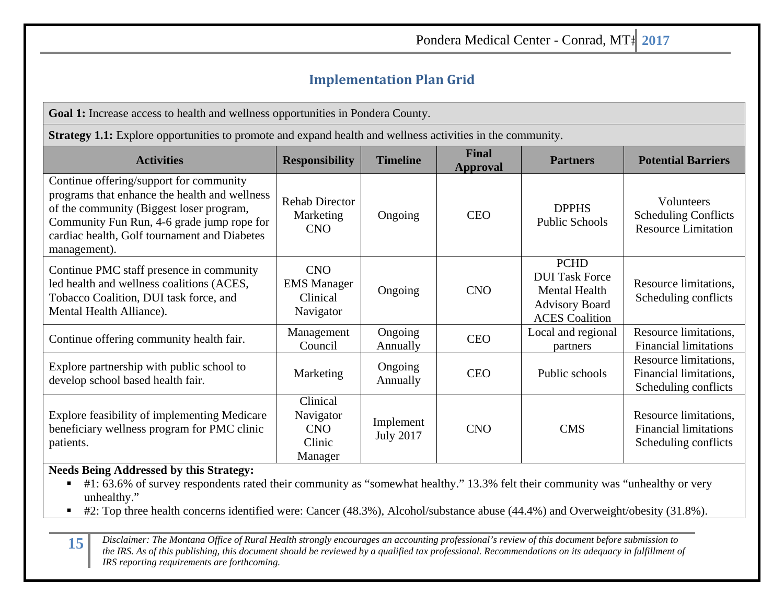# **Implementation Plan Grid**

**Goal 1:** Increase access to health and wellness opportunities in Pondera County.

**Strategy 1.1:** Explore opportunities to promote and expand health and wellness activities in the community.

| <b>Activities</b>                                                                                                                                                                                                                                  | <b>Responsibility</b>                                     | <b>Timeline</b>               | <b>Final</b><br><b>Approval</b> | <b>Partners</b>                                                                                                | <b>Potential Barriers</b>                                                      |
|----------------------------------------------------------------------------------------------------------------------------------------------------------------------------------------------------------------------------------------------------|-----------------------------------------------------------|-------------------------------|---------------------------------|----------------------------------------------------------------------------------------------------------------|--------------------------------------------------------------------------------|
| Continue offering/support for community<br>programs that enhance the health and wellness<br>of the community (Biggest loser program,<br>Community Fun Run, 4-6 grade jump rope for<br>cardiac health, Golf tournament and Diabetes<br>management). | <b>Rehab Director</b><br>Marketing<br><b>CNO</b>          | Ongoing                       | <b>CEO</b>                      | <b>DPPHS</b><br><b>Public Schools</b>                                                                          | <b>Volunteers</b><br><b>Scheduling Conflicts</b><br><b>Resource Limitation</b> |
| Continue PMC staff presence in community<br>led health and wellness coalitions (ACES,<br>Tobacco Coalition, DUI task force, and<br>Mental Health Alliance).                                                                                        | <b>CNO</b><br><b>EMS</b> Manager<br>Clinical<br>Navigator | Ongoing                       | <b>CNO</b>                      | <b>PCHD</b><br><b>DUI Task Force</b><br><b>Mental Health</b><br><b>Advisory Board</b><br><b>ACES</b> Coalition | Resource limitations,<br>Scheduling conflicts                                  |
| Continue offering community health fair.                                                                                                                                                                                                           | Management<br>Council                                     | Ongoing<br>Annually           | <b>CEO</b>                      | Local and regional<br>partners                                                                                 | Resource limitations,<br><b>Financial limitations</b>                          |
| Explore partnership with public school to<br>develop school based health fair.                                                                                                                                                                     | Marketing                                                 | Ongoing<br>Annually           | <b>CEO</b>                      | Public schools                                                                                                 | Resource limitations,<br>Financial limitations,<br>Scheduling conflicts        |
| Explore feasibility of implementing Medicare<br>beneficiary wellness program for PMC clinic<br>patients.                                                                                                                                           | Clinical<br>Navigator<br><b>CNO</b><br>Clinic<br>Manager  | Implement<br><b>July 2017</b> | <b>CNO</b>                      | <b>CMS</b>                                                                                                     | Resource limitations,<br><b>Financial limitations</b><br>Scheduling conflicts  |

### **Needs Being Addressed by this Strategy:**

- #1: 63.6% of survey respondents rated their community as "somewhat healthy." 13.3% felt their community was "unhealthy or very unhealthy."
- #2: Top three health concerns identified were: Cancer (48.3%), Alcohol/substance abuse (44.4%) and Overweight/obesity (31.8%).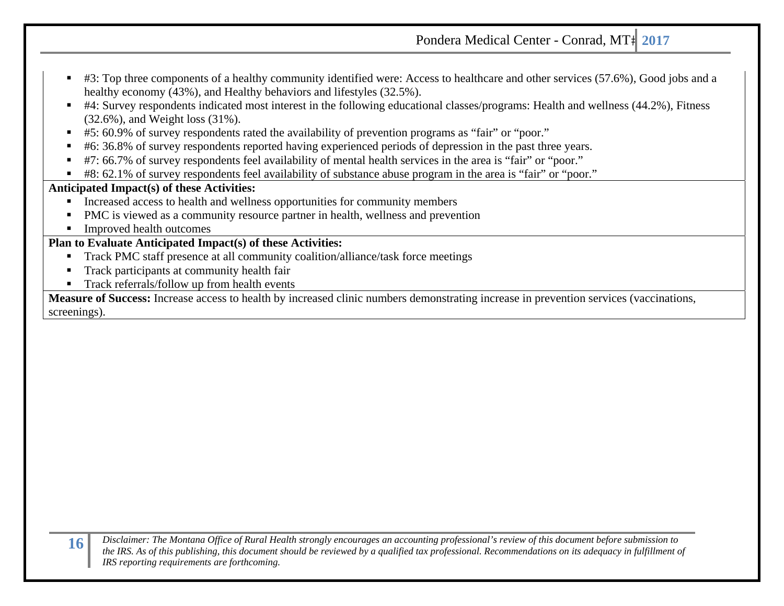- #3: Top three components of a healthy community identified were: Access to healthcare and other services (57.6%), Good jobs and a healthy economy (43%), and Healthy behaviors and lifestyles (32.5%).
- #4: Survey respondents indicated most interest in the following educational classes/programs: Health and wellness (44.2%), Fitness (32.6%), and Weight loss (31%).
- #5: 60.9% of survey respondents rated the availability of prevention programs as "fair" or "poor."
- #6: 36.8% of survey respondents reported having experienced periods of depression in the past three years.
- #7: 66.7% of survey respondents feel availability of mental health services in the area is "fair" or "poor."
- $\blacksquare$ #8: 62.1% of survey respondents feel availability of substance abuse program in the area is "fair" or "poor."

### **Anticipated Impact(s) of these Activities:**

- Increased access to health and wellness opportunities for community members
- PMC is viewed as a community resource partner in health, wellness and prevention
- $\blacksquare$ Improved health outcomes

### **Plan to Evaluate Anticipated Impact(s) of these Activities:**

- $\blacksquare$ Track PMC staff presence at all community coalition/alliance/task force meetings
- $\blacksquare$ Track participants at community health fair
- Track referrals/follow up from health events

**Measure of Success:** Increase access to health by increased clinic numbers demonstrating increase in prevention services (vaccinations, screenings).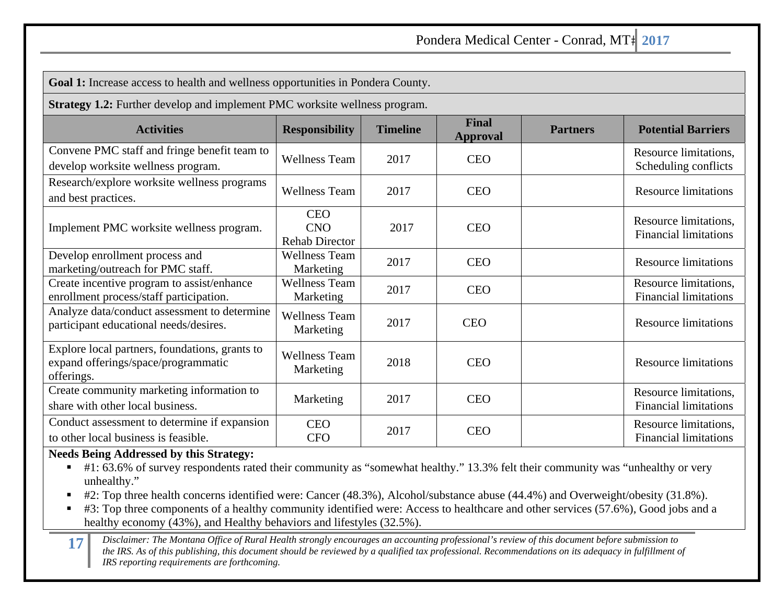**Goal 1:** Increase access to health and wellness opportunities in Pondera County.

**Strategy 1.2:** Further develop and implement PMC worksite wellness program.

| <b>Activities</b>                                                                                   | <b>Responsibility</b>                             | <b>Timeline</b> | <b>Final</b><br><b>Approval</b> | <b>Partners</b> | <b>Potential Barriers</b>                             |
|-----------------------------------------------------------------------------------------------------|---------------------------------------------------|-----------------|---------------------------------|-----------------|-------------------------------------------------------|
| Convene PMC staff and fringe benefit team to<br>develop worksite wellness program.                  | <b>Wellness Team</b>                              | 2017            | <b>CEO</b>                      |                 | Resource limitations,<br>Scheduling conflicts         |
| Research/explore worksite wellness programs<br>and best practices.                                  | <b>Wellness Team</b>                              | 2017            | <b>CEO</b>                      |                 | <b>Resource limitations</b>                           |
| Implement PMC worksite wellness program.                                                            | <b>CEO</b><br><b>CNO</b><br><b>Rehab Director</b> | 2017            | <b>CEO</b>                      |                 | Resource limitations,<br><b>Financial limitations</b> |
| Develop enrollment process and<br>marketing/outreach for PMC staff.                                 | <b>Wellness Team</b><br>Marketing                 | 2017            | <b>CEO</b>                      |                 | <b>Resource limitations</b>                           |
| Create incentive program to assist/enhance<br>enrollment process/staff participation.               | <b>Wellness Team</b><br>Marketing                 | 2017            | <b>CEO</b>                      |                 | Resource limitations,<br><b>Financial limitations</b> |
| Analyze data/conduct assessment to determine<br>participant educational needs/desires.              | Wellness Team<br>Marketing                        | 2017            | <b>CEO</b>                      |                 | <b>Resource limitations</b>                           |
| Explore local partners, foundations, grants to<br>expand offerings/space/programmatic<br>offerings. | <b>Wellness Team</b><br>Marketing                 | 2018            | <b>CEO</b>                      |                 | <b>Resource limitations</b>                           |
| Create community marketing information to<br>share with other local business.                       | Marketing                                         | 2017            | <b>CEO</b>                      |                 | Resource limitations,<br><b>Financial limitations</b> |
| Conduct assessment to determine if expansion<br>to other local business is feasible.                | <b>CEO</b><br><b>CFO</b>                          | 2017            | <b>CEO</b>                      |                 | Resource limitations,<br><b>Financial limitations</b> |

### **Needs Being Addressed by this Strategy:**

- #1: 63.6% of survey respondents rated their community as "somewhat healthy." 13.3% felt their community was "unhealthy or very unhealthy."
- $\blacksquare$ #2: Top three health concerns identified were: Cancer (48.3%), Alcohol/substance abuse (44.4%) and Overweight/obesity (31.8%).
- $\blacksquare$ #3: Top three components of a healthy community identified were: Access to healthcare and other services (57.6%), Good jobs and a healthy economy (43%), and Healthy behaviors and lifestyles (32.5%).
- 17 Disclaimer: The Montana Office of Rural Health strongly encourages an accounting professional's review of this document before submission to<br>the IRS. As of this publishing, this document should be reviewed by a qualifie *IRS reporting requirements are forthcoming.*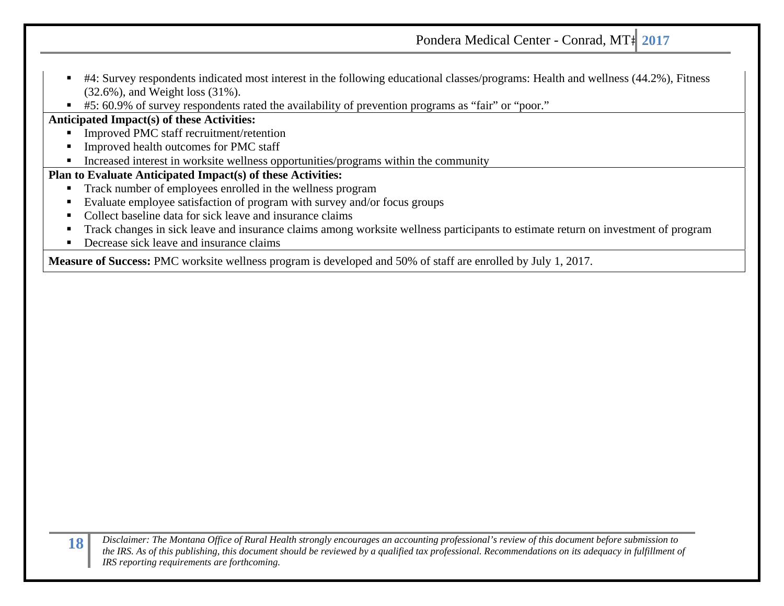- #4: Survey respondents indicated most interest in the following educational classes/programs: Health and wellness (44.2%), Fitness (32.6%), and Weight loss (31%).
- $\blacksquare$ #5: 60.9% of survey respondents rated the availability of prevention programs as "fair" or "poor."

### **Anticipated Impact(s) of these Activities:**

- $\blacksquare$ Improved PMC staff recruitment/retention
- Improved health outcomes for PMC staff
- $\blacksquare$ Increased interest in worksite wellness opportunities/programs within the community

### **Plan to Evaluate Anticipated Impact(s) of these Activities:**

- $\blacksquare$ Track number of employees enrolled in the wellness program
- Evaluate employee satisfaction of program with survey and/or focus groups
- Collect baseline data for sick leave and insurance claims
- Track changes in sick leave and insurance claims among worksite wellness participants to estimate return on investment of program
- Decrease sick leave and insurance claims

**Measure of Success:** PMC worksite wellness program is developed and 50% of staff are enrolled by July 1, 2017.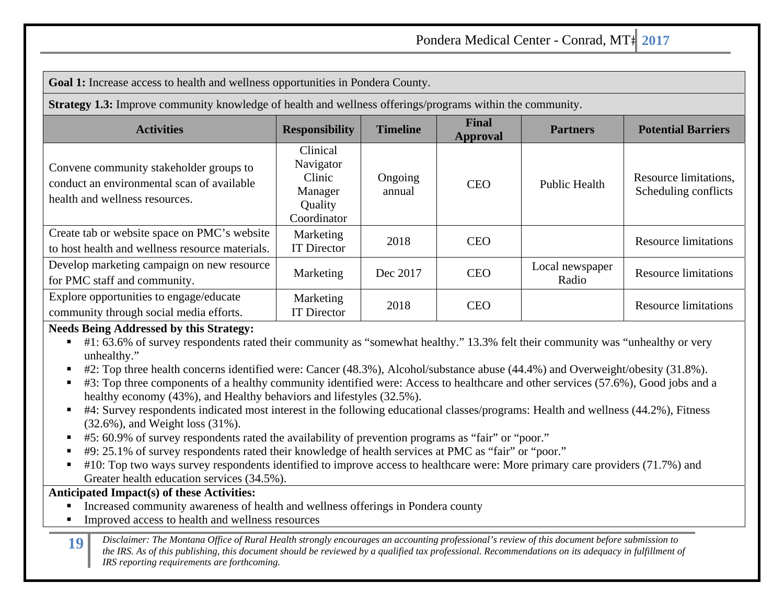**Goal 1:** Increase access to health and wellness opportunities in Pondera County.

**Strategy 1.3:** Improve community knowledge of health and wellness offerings/programs within the community.

| $\mathbf{\mathcal{L}}$                                                                                                  |                                                                      |                   |                                 |                          |                                               |
|-------------------------------------------------------------------------------------------------------------------------|----------------------------------------------------------------------|-------------------|---------------------------------|--------------------------|-----------------------------------------------|
| <b>Activities</b>                                                                                                       | <b>Responsibility</b>                                                | <b>Timeline</b>   | <b>Final</b><br><b>Approval</b> | <b>Partners</b>          | <b>Potential Barriers</b>                     |
| Convene community stakeholder groups to<br>conduct an environmental scan of available<br>health and wellness resources. | Clinical<br>Navigator<br>Clinic<br>Manager<br>Quality<br>Coordinator | Ongoing<br>annual | <b>CEO</b>                      | <b>Public Health</b>     | Resource limitations,<br>Scheduling conflicts |
| Create tab or website space on PMC's website<br>to host health and wellness resource materials.                         | Marketing<br><b>IT Director</b>                                      | 2018              | <b>CEO</b>                      |                          | <b>Resource limitations</b>                   |
| Develop marketing campaign on new resource<br>for PMC staff and community.                                              | Marketing                                                            | Dec 2017          | <b>CEO</b>                      | Local newspaper<br>Radio | <b>Resource limitations</b>                   |
| Explore opportunities to engage/educate<br>community through social media efforts.                                      | Marketing<br><b>IT Director</b>                                      | 2018              | <b>CEO</b>                      |                          | <b>Resource limitations</b>                   |

### **Needs Being Addressed by this Strategy:**

- #1: 63.6% of survey respondents rated their community as "somewhat healthy." 13.3% felt their community was "unhealthy or very unhealthy."
- #2: Top three health concerns identified were: Cancer (48.3%), Alcohol/substance abuse (44.4%) and Overweight/obesity (31.8%).
- #3: Top three components of a healthy community identified were: Access to healthcare and other services (57.6%), Good jobs and a healthy economy (43%), and Healthy behaviors and lifestyles (32.5%).
- #4: Survey respondents indicated most interest in the following educational classes/programs: Health and wellness (44.2%), Fitness (32.6%), and Weight loss (31%).
- #5: 60.9% of survey respondents rated the availability of prevention programs as "fair" or "poor."
- #9: 25.1% of survey respondents rated their knowledge of health services at PMC as "fair" or "poor."
- #10: Top two ways survey respondents identified to improve access to healthcare were: More primary care providers (71.7%) and Greater health education services (34.5%).

### **Anticipated Impact(s) of these Activities:**

- $\blacksquare$ Increased community awareness of health and wellness offerings in Pondera county
- $\blacksquare$ Improved access to health and wellness resources
- Disclaimer: The Montana Office of Rural Health strongly encourages an accounting professional's review of this document before submission to<br>the IRS. As of this publishing, this document should be reviewed by a qualified t *IRS reporting requirements are forthcoming.*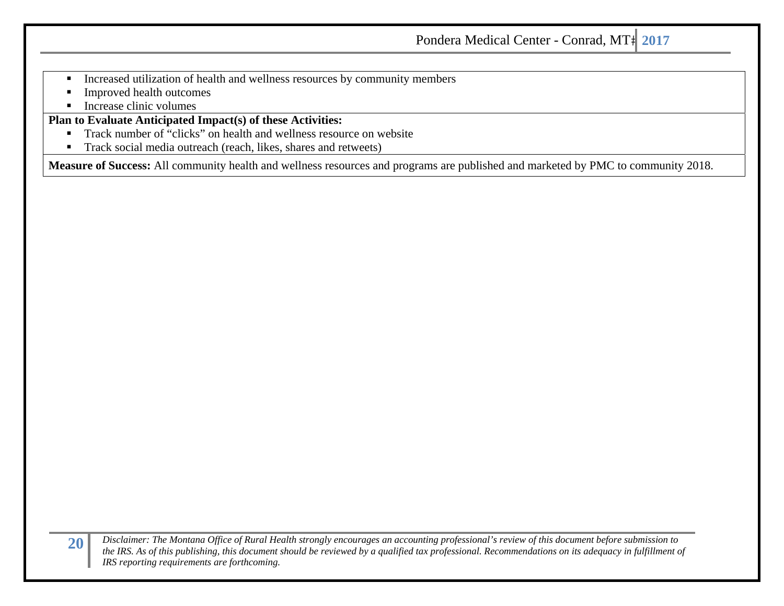- $\blacksquare$ Increased utilization of health and wellness resources by community members
- $\blacksquare$ Improved health outcomes
- $\blacksquare$ Increase clinic volumes

### **Plan to Evaluate Anticipated Impact(s) of these Activities:**

- $\blacksquare$ Track number of "clicks" on health and wellness resource on website
- $\blacksquare$ Track social media outreach (reach, likes, shares and retweets)

**Measure of Success:** All community health and wellness resources and programs are published and marketed by PMC to community 2018.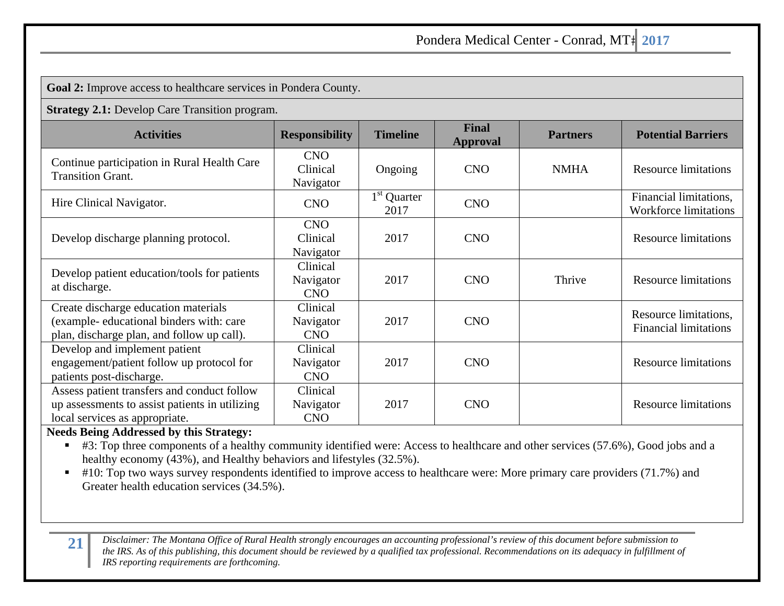**Goal 2:** Improve access to healthcare services in Pondera County.

**Strategy 2.1:** Develop Care Transition program.

| <b>Activities</b>                                                                                                               | <b>Responsibility</b>               | <b>Timeline</b>       | <b>Final</b><br><b>Approval</b> | <b>Partners</b> | <b>Potential Barriers</b>                              |
|---------------------------------------------------------------------------------------------------------------------------------|-------------------------------------|-----------------------|---------------------------------|-----------------|--------------------------------------------------------|
| Continue participation in Rural Health Care<br><b>Transition Grant.</b>                                                         | <b>CNO</b><br>Clinical<br>Navigator | Ongoing               | <b>CNO</b>                      | <b>NMHA</b>     | <b>Resource limitations</b>                            |
| Hire Clinical Navigator.                                                                                                        | <b>CNO</b>                          | $1st$ Quarter<br>2017 | <b>CNO</b>                      |                 | Financial limitations,<br><b>Workforce limitations</b> |
| Develop discharge planning protocol.                                                                                            | <b>CNO</b><br>Clinical<br>Navigator | 2017                  | <b>CNO</b>                      |                 | <b>Resource limitations</b>                            |
| Develop patient education/tools for patients<br>at discharge.                                                                   | Clinical<br>Navigator<br><b>CNO</b> | 2017                  | <b>CNO</b>                      | Thrive          | <b>Resource limitations</b>                            |
| Create discharge education materials<br>(example-educational binders with: care<br>plan, discharge plan, and follow up call).   | Clinical<br>Navigator<br><b>CNO</b> | 2017                  | <b>CNO</b>                      |                 | Resource limitations,<br><b>Financial limitations</b>  |
| Develop and implement patient<br>engagement/patient follow up protocol for<br>patients post-discharge.                          | Clinical<br>Navigator<br><b>CNO</b> | 2017                  | <b>CNO</b>                      |                 | <b>Resource limitations</b>                            |
| Assess patient transfers and conduct follow<br>up assessments to assist patients in utilizing<br>local services as appropriate. | Clinical<br>Navigator<br><b>CNO</b> | 2017                  | <b>CNO</b>                      |                 | <b>Resource limitations</b>                            |

### **Needs Being Addressed by this Strategy:**

■ #3: Top three components of a healthy community identified were: Access to healthcare and other services (57.6%), Good jobs and a healthy economy (43%), and Healthy behaviors and lifestyles (32.5%).

■ #10: Top two ways survey respondents identified to improve access to healthcare were: More primary care providers (71.7%) and Greater health education services (34.5%).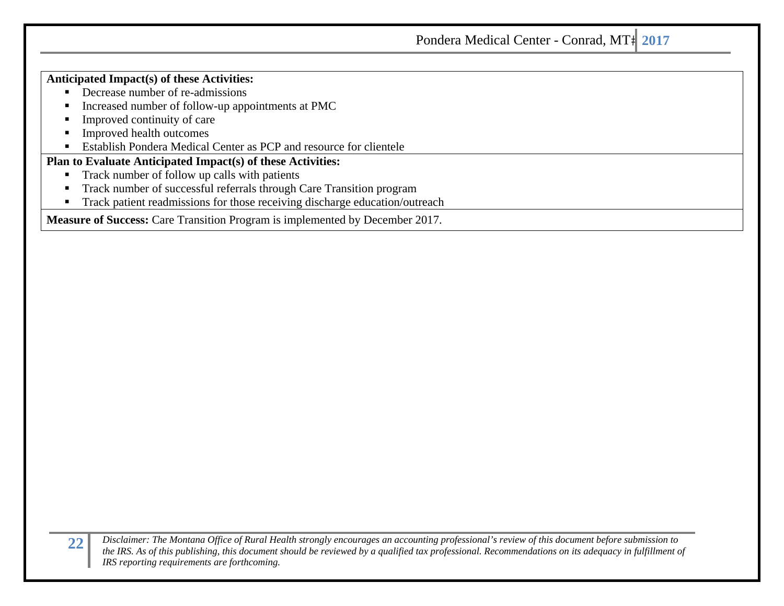### **Anticipated Impact(s) of these Activities:**

- Decrease number of re-admissions
- n Increased number of follow-up appointments at PMC
- n Improved continuity of care
- n Improved health outcomes
- $\blacksquare$ Establish Pondera Medical Center as PCP and resource for clientele

### **Plan to Evaluate Anticipated Impact(s) of these Activities:**

- $\blacksquare$ Track number of follow up calls with patients
- $\blacksquare$ Track number of successful referrals through Care Transition program
- п Track patient readmissions for those receiving discharge education/outreach

**Measure of Success:** Care Transition Program is implemented by December 2017.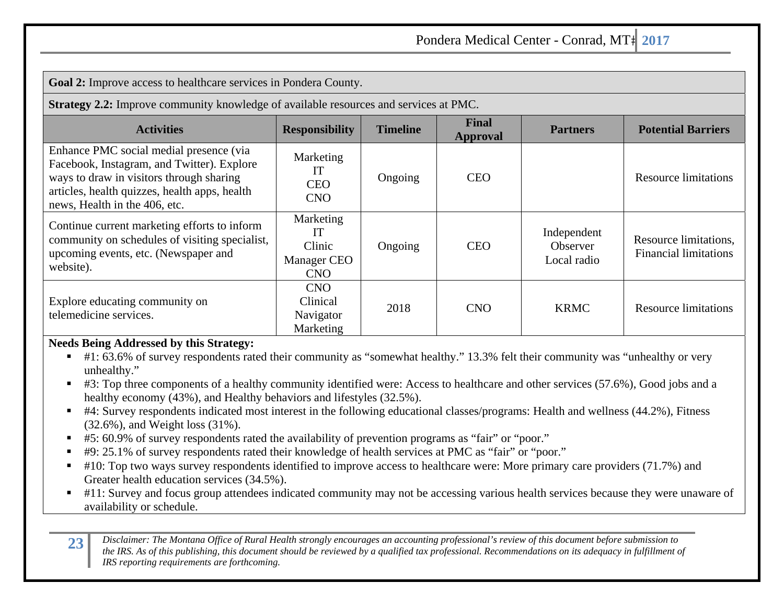**Goal 2:** Improve access to healthcare services in Pondera County.

**Strategy 2.2:** Improve community knowledge of available resources and services at PMC.

| <b>Activities</b>                                                                                                                                                                                                   | <b>Responsibility</b>                                  | <b>Timeline</b> | <b>Final</b><br>Approval | <b>Partners</b>                        | <b>Potential Barriers</b>                             |
|---------------------------------------------------------------------------------------------------------------------------------------------------------------------------------------------------------------------|--------------------------------------------------------|-----------------|--------------------------|----------------------------------------|-------------------------------------------------------|
| Enhance PMC social medial presence (via<br>Facebook, Instagram, and Twitter). Explore<br>ways to draw in visitors through sharing<br>articles, health quizzes, health apps, health<br>news, Health in the 406, etc. | Marketing<br>ТT<br><b>CEO</b><br><b>CNO</b>            | Ongoing         | <b>CEO</b>               |                                        | <b>Resource limitations</b>                           |
| Continue current marketing efforts to inform<br>community on schedules of visiting specialist,<br>upcoming events, etc. (Newspaper and<br>website).                                                                 | Marketing<br>TТ<br>Clinic<br>Manager CEO<br><b>CNO</b> | Ongoing         | <b>CEO</b>               | Independent<br>Observer<br>Local radio | Resource limitations,<br><b>Financial limitations</b> |
| Explore educating community on<br>telemedicine services.                                                                                                                                                            | <b>CNO</b><br>Clinical<br>Navigator<br>Marketing       | 2018            | <b>CNO</b>               | <b>KRMC</b>                            | <b>Resource limitations</b>                           |

### **Needs Being Addressed by this Strategy:**

- #1: 63.6% of survey respondents rated their community as "somewhat healthy." 13.3% felt their community was "unhealthy or very unhealthy."
- #3: Top three components of a healthy community identified were: Access to healthcare and other services (57.6%), Good jobs and a healthy economy (43%), and Healthy behaviors and lifestyles (32.5%).
- #4: Survey respondents indicated most interest in the following educational classes/programs: Health and wellness (44.2%), Fitness (32.6%), and Weight loss (31%).
- #5: 60.9% of survey respondents rated the availability of prevention programs as "fair" or "poor."
- #9: 25.1% of survey respondents rated their knowledge of health services at PMC as "fair" or "poor."
- $\blacksquare$ #10: Top two ways survey respondents identified to improve access to healthcare were: More primary care providers (71.7%) and Greater health education services (34.5%).
- #11: Survey and focus group attendees indicated community may not be accessing various health services because they were unaware of availability or schedule.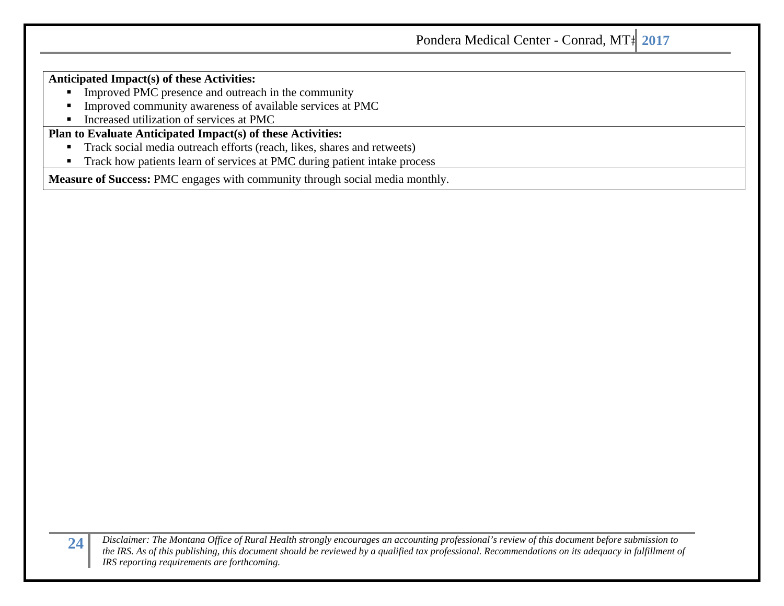#### **Anticipated Impact(s) of these Activities:**

- **IMPROVED FINC presence and outreach in the community**
- $\blacksquare$ Improved community awareness of available services at PMC
- $\blacksquare$ Increased utilization of services at PMC

### **Plan to Evaluate Anticipated Impact(s) of these Activities:**

- $\blacksquare$ Track social media outreach efforts (reach, likes, shares and retweets)
- $\blacksquare$ Track how patients learn of services at PMC during patient intake process

**Measure of Success:** PMC engages with community through social media monthly.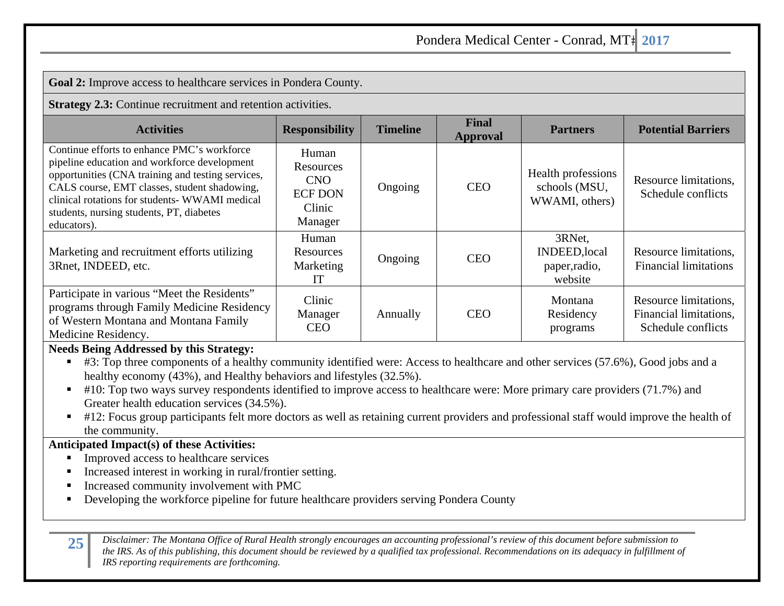**Goal 2:** Improve access to healthcare services in Pondera County.

**Strategy 2.3:** Continue recruitment and retention activities.

| <b>Activities</b>                                                                                                                                                                                                                                                                                             | <b>Responsibility</b>                                                          | <b>Timeline</b> | Final<br>Approval | <b>Partners</b>                                            | <b>Potential Barriers</b>                                             |
|---------------------------------------------------------------------------------------------------------------------------------------------------------------------------------------------------------------------------------------------------------------------------------------------------------------|--------------------------------------------------------------------------------|-----------------|-------------------|------------------------------------------------------------|-----------------------------------------------------------------------|
| Continue efforts to enhance PMC's workforce<br>pipeline education and workforce development<br>opportunities (CNA training and testing services,<br>CALS course, EMT classes, student shadowing,<br>clinical rotations for students- WWAMI medical<br>students, nursing students, PT, diabetes<br>educators). | Human<br><b>Resources</b><br><b>CNO</b><br><b>ECF DON</b><br>Clinic<br>Manager | Ongoing         | <b>CEO</b>        | Health professions<br>schools (MSU,<br>WWAMI, others)      | Resource limitations,<br>Schedule conflicts                           |
| Marketing and recruitment efforts utilizing<br>3Rnet, INDEED, etc.                                                                                                                                                                                                                                            | Human<br>Resources<br>Marketing<br>IТ                                          | Ongoing         | <b>CEO</b>        | 3RNet,<br><b>INDEED, local</b><br>paper, radio,<br>website | Resource limitations,<br><b>Financial limitations</b>                 |
| Participate in various "Meet the Residents"<br>programs through Family Medicine Residency<br>of Western Montana and Montana Family<br>Medicine Residency.                                                                                                                                                     | Clinic<br>Manager<br><b>CEO</b>                                                | Annually        | <b>CEO</b>        | Montana<br>Residency<br>programs                           | Resource limitations.<br>Financial limitations,<br>Schedule conflicts |

#### **Needs Being Addressed by this Strategy:**

■ #3: Top three components of a healthy community identified were: Access to healthcare and other services (57.6%), Good jobs and a healthy economy (43%), and Healthy behaviors and lifestyles (32.5%).

- $\blacksquare$  #10: Top two ways survey respondents identified to improve access to healthcare were: More primary care providers (71.7%) and Greater health education services (34.5%).
- $\blacksquare$ #12: Focus group participants felt more doctors as well as retaining current providers and professional staff would improve the health of the community.

### **Anticipated Impact(s) of these Activities:**

- Improved access to healthcare services
- Increased interest in working in rural/frontier setting.
- Increased community involvement with PMC
- Г Developing the workforce pipeline for future healthcare providers serving Pondera County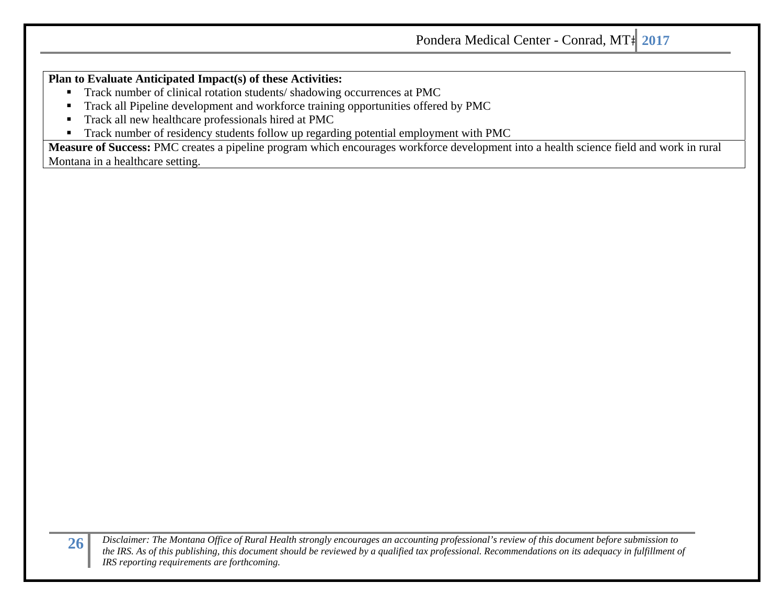### **Plan to Evaluate Anticipated Impact(s) of these Activities:**

- $\blacksquare$ Track number of clinical rotation students/ shadowing occurrences at PMC
- ٠ Track all Pipeline development and workforce training opportunities offered by PMC
- Ξ Track all new healthcare professionals hired at PMC
- $\blacksquare$ Track number of residency students follow up regarding potential employment with PMC

**Measure of Success:** PMC creates a pipeline program which encourages workforce development into a health science field and work in rural Montana in a healthcare setting.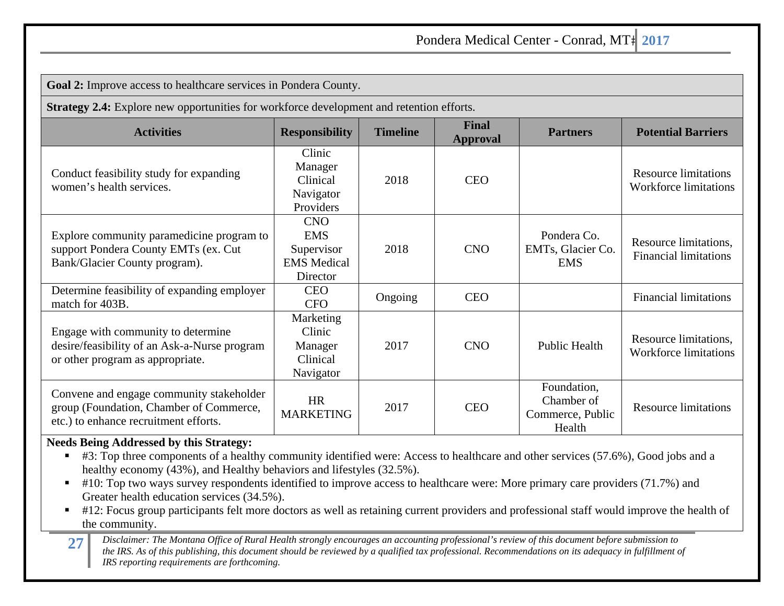**Goal 2:** Improve access to healthcare services in Pondera County.

**Strategy 2.4:** Explore new opportunities for workforce development and retention efforts.

| <b>Activities</b>                                                                                                            | <b>Responsibility</b>                                                    | <b>Timeline</b> | <b>Final</b><br><b>Approval</b> | <b>Partners</b>                                         | <b>Potential Barriers</b>                                   |
|------------------------------------------------------------------------------------------------------------------------------|--------------------------------------------------------------------------|-----------------|---------------------------------|---------------------------------------------------------|-------------------------------------------------------------|
| Conduct feasibility study for expanding<br>women's health services.                                                          | Clinic<br>Manager<br>Clinical<br>Navigator<br>Providers                  | 2018            | <b>CEO</b>                      |                                                         | <b>Resource limitations</b><br><b>Workforce limitations</b> |
| Explore community paramedicine program to<br>support Pondera County EMTs (ex. Cut<br>Bank/Glacier County program).           | <b>CNO</b><br><b>EMS</b><br>Supervisor<br><b>EMS</b> Medical<br>Director | 2018            | <b>CNO</b>                      | Pondera Co.<br>EMTs, Glacier Co.<br><b>EMS</b>          | Resource limitations,<br><b>Financial limitations</b>       |
| Determine feasibility of expanding employer<br>match for 403B.                                                               | <b>CEO</b><br><b>CFO</b>                                                 | Ongoing         | <b>CEO</b>                      |                                                         | <b>Financial limitations</b>                                |
| Engage with community to determine<br>desire/feasibility of an Ask-a-Nurse program<br>or other program as appropriate.       | Marketing<br>Clinic<br>Manager<br>Clinical<br>Navigator                  | 2017            | <b>CNO</b>                      | <b>Public Health</b>                                    | Resource limitations,<br><b>Workforce limitations</b>       |
| Convene and engage community stakeholder<br>group (Foundation, Chamber of Commerce,<br>etc.) to enhance recruitment efforts. | <b>HR</b><br><b>MARKETING</b>                                            | 2017            | <b>CEO</b>                      | Foundation,<br>Chamber of<br>Commerce, Public<br>Health | <b>Resource limitations</b>                                 |

### **Needs Being Addressed by this Strategy:**

- #3: Top three components of a healthy community identified were: Access to healthcare and other services (57.6%), Good jobs and a healthy economy (43%), and Healthy behaviors and lifestyles (32.5%).
- $\blacksquare$ #10: Top two ways survey respondents identified to improve access to healthcare were: More primary care providers (71.7%) and Greater health education services (34.5%).
- #12: Focus group participants felt more doctors as well as retaining current providers and professional staff would improve the health of the community.
- 27 Disclaimer: The Montana Office of Rural Health strongly encourages an accounting professional's review of this document before submission to<br>the IRS. As of this publishing, this document should be reviewed by a qualifie *IRS reporting requirements are forthcoming.*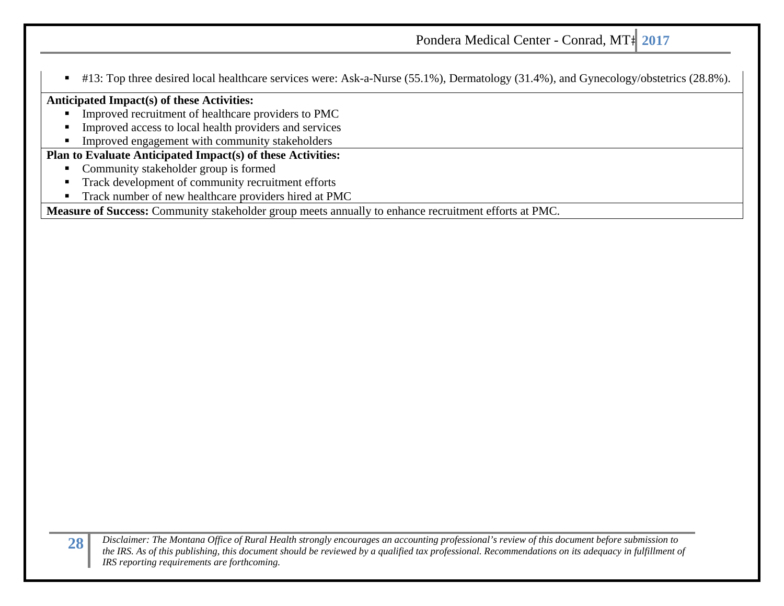$\blacksquare$ #13: Top three desired local healthcare services were: Ask-a-Nurse (55.1%), Dermatology (31.4%), and Gynecology/obstetrics (28.8%).

### **Anticipated Impact(s) of these Activities:**

- ٠ Improved recruitment of healthcare providers to PMC
- $\blacksquare$ Improved access to local health providers and services
- $\blacksquare$ Improved engagement with community stakeholders

### **Plan to Evaluate Anticipated Impact(s) of these Activities:**

- $\blacksquare$ Community stakeholder group is formed
- n Track development of community recruitment efforts
- Ξ Track number of new healthcare providers hired at PMC

**Measure of Success:** Community stakeholder group meets annually to enhance recruitment efforts at PMC.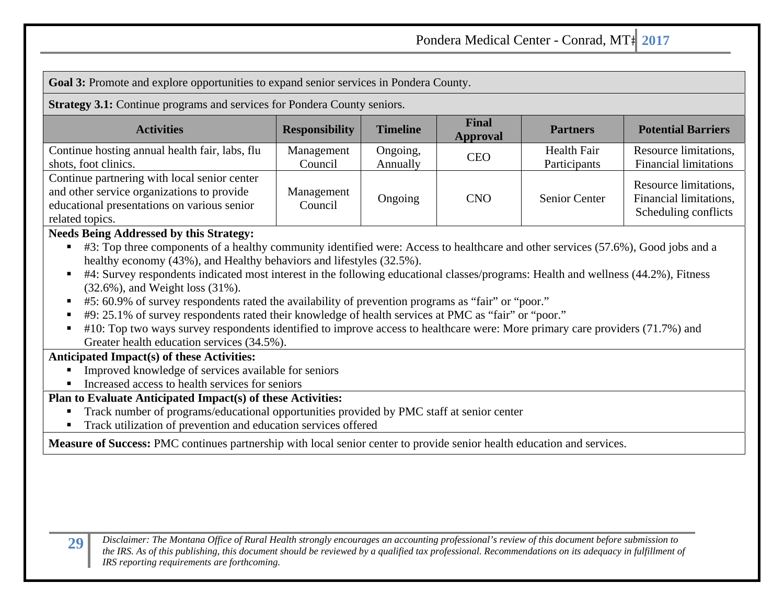**Goal 3:** Promote and explore opportunities to expand senior services in Pondera County.

**Strategy 3.1:** Continue programs and services for Pondera County seniors.

| <b>Activities</b>                                                                                                                                            | <b>Responsibility</b> | <b>Timeline</b>      | <b>Final</b><br><b>Approval</b> | <b>Partners</b>                    | <b>Potential Barriers</b>                                               |
|--------------------------------------------------------------------------------------------------------------------------------------------------------------|-----------------------|----------------------|---------------------------------|------------------------------------|-------------------------------------------------------------------------|
| Continue hosting annual health fair, labs, flu<br>shots, foot clinics.                                                                                       | Management<br>Council | Ongoing,<br>Annually | <b>CEO</b>                      | <b>Health Fair</b><br>Participants | Resource limitations,<br><b>Financial limitations</b>                   |
| Continue partnering with local senior center<br>and other service organizations to provide<br>educational presentations on various senior<br>related topics. | Management<br>Council | Ongoing              | <b>CNO</b>                      | <b>Senior Center</b>               | Resource limitations,<br>Financial limitations,<br>Scheduling conflicts |

### **Needs Being Addressed by this Strategy:**

- #3: Top three components of a healthy community identified were: Access to healthcare and other services (57.6%), Good jobs and a healthy economy (43%), and Healthy behaviors and lifestyles (32.5%).
- #4: Survey respondents indicated most interest in the following educational classes/programs: Health and wellness (44.2%), Fitness (32.6%), and Weight loss (31%).
- Г #5: 60.9% of survey respondents rated the availability of prevention programs as "fair" or "poor."
- #9: 25.1% of survey respondents rated their knowledge of health services at PMC as "fair" or "poor."
- #10: Top two ways survey respondents identified to improve access to healthcare were: More primary care providers (71.7%) and Greater health education services (34.5%).

### **Anticipated Impact(s) of these Activities:**

- $\blacksquare$ Improved knowledge of services available for seniors
- Increased access to health services for seniors

### **Plan to Evaluate Anticipated Impact(s) of these Activities:**

- Г Track number of programs/educational opportunities provided by PMC staff at senior center
- $\blacksquare$ Track utilization of prevention and education services offered

**Measure of Success:** PMC continues partnership with local senior center to provide senior health education and services.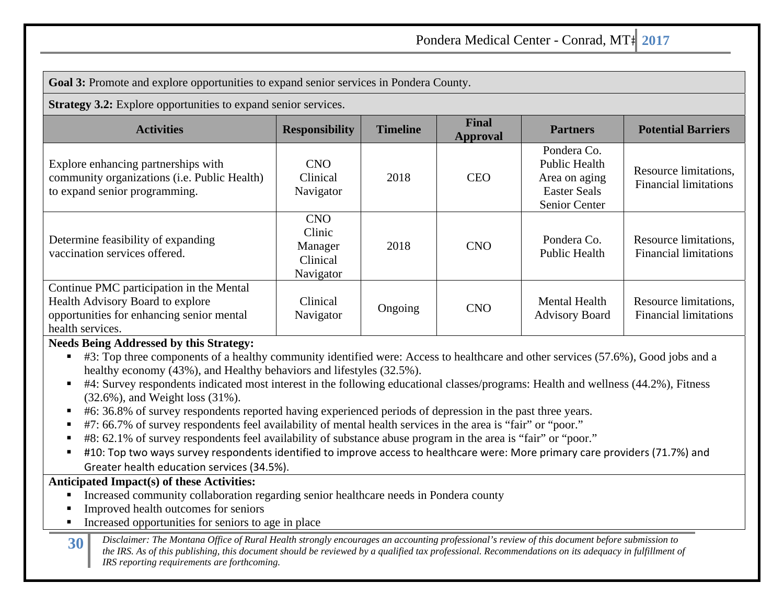**Goal 3:** Promote and explore opportunities to expand senior services in Pondera County.

**Strategy 3.2:** Explore opportunities to expand senior services.

| <b>Activities</b>                                                                                                                             | <b>Responsibility</b>                                    | <b>Timeline</b> | Final<br><b>Approval</b> | <b>Partners</b>                                                                              | <b>Potential Barriers</b>                             |
|-----------------------------------------------------------------------------------------------------------------------------------------------|----------------------------------------------------------|-----------------|--------------------------|----------------------------------------------------------------------------------------------|-------------------------------------------------------|
| Explore enhancing partnerships with<br>community organizations (i.e. Public Health)<br>to expand senior programming.                          | <b>CNO</b><br>Clinical<br>Navigator                      | 2018            | <b>CEO</b>               | Pondera Co.<br><b>Public Health</b><br>Area on aging<br><b>Easter Seals</b><br>Senior Center | Resource limitations,<br><b>Financial limitations</b> |
| Determine feasibility of expanding<br>vaccination services offered.                                                                           | <b>CNO</b><br>Clinic<br>Manager<br>Clinical<br>Navigator | 2018            | <b>CNO</b>               | Pondera Co.<br>Public Health                                                                 | Resource limitations,<br><b>Financial limitations</b> |
| Continue PMC participation in the Mental<br>Health Advisory Board to explore<br>opportunities for enhancing senior mental<br>health services. | Clinical<br>Navigator                                    | Ongoing         | <b>CNO</b>               | <b>Mental Health</b><br><b>Advisory Board</b>                                                | Resource limitations,<br><b>Financial limitations</b> |

### **Needs Being Addressed by this Strategy:**

■ #3: Top three components of a healthy community identified were: Access to healthcare and other services (57.6%), Good jobs and a healthy economy (43%), and Healthy behaviors and lifestyles (32.5%).

- #4: Survey respondents indicated most interest in the following educational classes/programs: Health and wellness (44.2%), Fitness (32.6%), and Weight loss (31%).
- #6: 36.8% of survey respondents reported having experienced periods of depression in the past three years.
- #7: 66.7% of survey respondents feel availability of mental health services in the area is "fair" or "poor."
- Г #8: 62.1% of survey respondents feel availability of substance abuse program in the area is "fair" or "poor."
- Г #10: Top two ways survey respondents identified to improve access to healthcare were: More primary care providers (71.7%) and Greater health education services (34.5%).

### **Anticipated Impact(s) of these Activities:**

- $\blacksquare$ Increased community collaboration regarding senior healthcare needs in Pondera county
- Г Improved health outcomes for seniors
- $\blacksquare$ Increased opportunities for seniors to age in place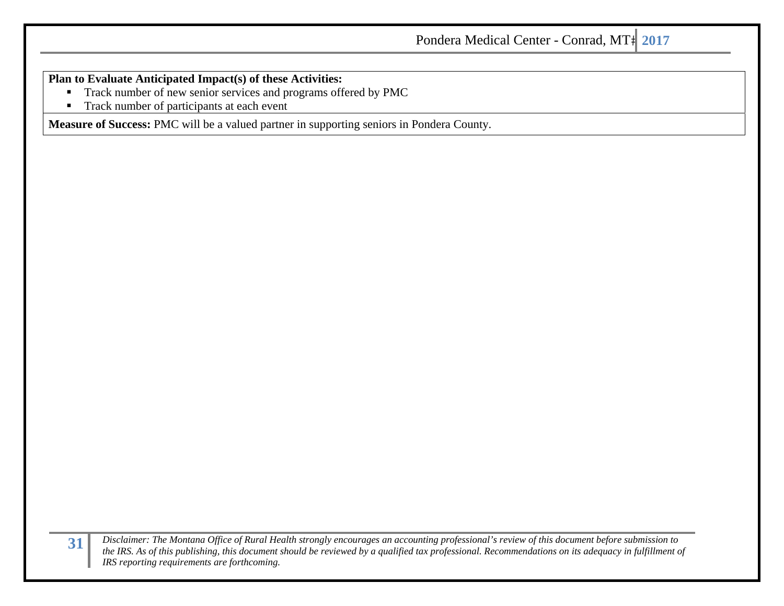**Plan to Evaluate Anticipated Impact(s) of these Activities:** 

- $\blacksquare$ Track number of new senior services and programs offered by PMC
- $\blacksquare$ Track number of participants at each event

**Measure of Success:** PMC will be a valued partner in supporting seniors in Pondera County.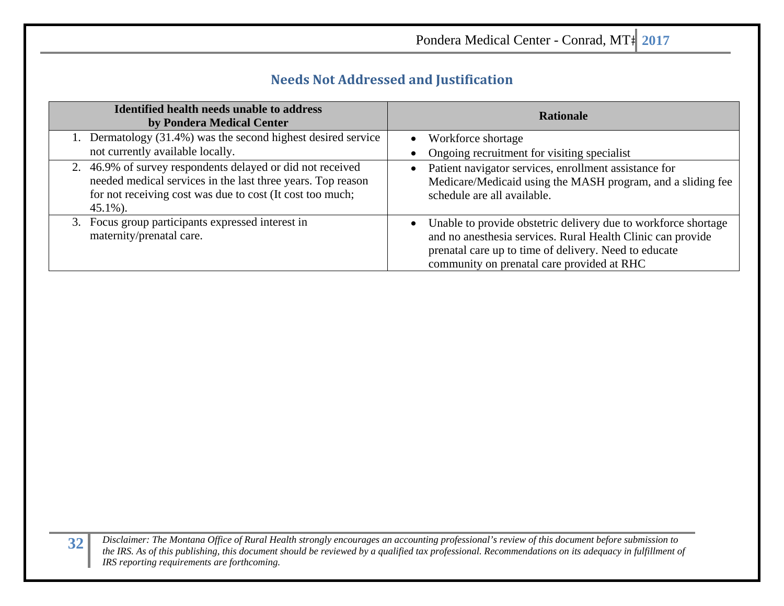| Pondera Medical Center - Conrad, MT <sup>+</sup> 2017 |  |
|-------------------------------------------------------|--|
|-------------------------------------------------------|--|

J.

### **Needs Not Addressed and Justification**

| <b>Identified health needs unable to address</b><br>by Pondera Medical Center                                                                                                                         | <b>Rationale</b>                                                                                                                                                                                                                                  |
|-------------------------------------------------------------------------------------------------------------------------------------------------------------------------------------------------------|---------------------------------------------------------------------------------------------------------------------------------------------------------------------------------------------------------------------------------------------------|
| 1. Dermatology (31.4%) was the second highest desired service<br>not currently available locally.                                                                                                     | Workforce shortage<br>$\bullet$<br>Ongoing recruitment for visiting specialist                                                                                                                                                                    |
| 2. 46.9% of survey respondents delayed or did not received<br>needed medical services in the last three years. Top reason<br>for not receiving cost was due to cost (It cost too much;<br>$45.1\%$ ). | Patient navigator services, enrollment assistance for<br>$\bullet$<br>Medicare/Medicaid using the MASH program, and a sliding fee<br>schedule are all available.                                                                                  |
| 3. Focus group participants expressed interest in<br>maternity/prenatal care.                                                                                                                         | Unable to provide obstetric delivery due to workforce shortage<br>$\bullet$<br>and no anesthesia services. Rural Health Clinic can provide<br>prenatal care up to time of delivery. Need to educate<br>community on prenatal care provided at RHC |